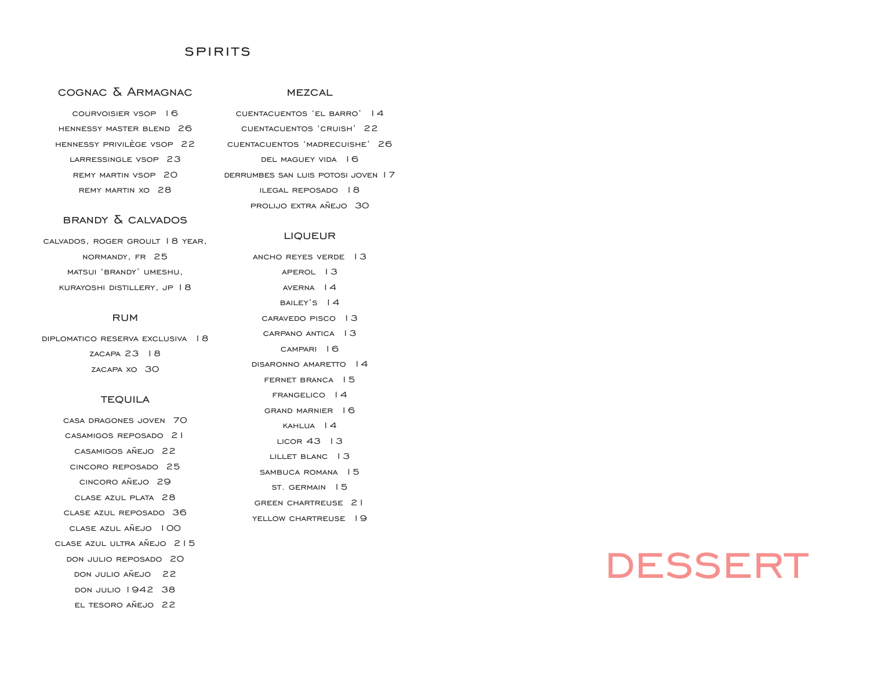### **SPIRITS**

## cognac & Armagnac

#### **MEZCAL**

prolijo extra añejo 30

**LIQUEUR** 

| COURVOISIER VSOP 16        | CUENTACUENTOS 'EL BARRO'   4       |
|----------------------------|------------------------------------|
| HENNESSY MASTER BLEND 26   | CUENTACUENTOS 'CRUISH' 22          |
| HENNESSY PRIVILFGE VSOP 22 | CUENTACUENTOS 'MADRECUISHE' 26     |
| LARRESSINGLE VSOP 23       | DEL MAGUEY VIDA 16                 |
| REMY MARTIN VSOP 20        | DERRUMBES SAN LUIS POTOSI JOVEN 17 |
| REMY MARTIN XO 28          | ILEGAL REPOSADO 18                 |

### brandy & calvados

| CALVADOS, ROGER GROULT 18 YEAR, |
|---------------------------------|
| NORMANDY, FR 25                 |
| MATSUI 'BRANDY' UMESHU.         |
| KURAYOSHI DISTILLERY, JP   8    |

#### **RUM**

diplomatico reserva exclusiva 18 zacapa 23 18 zacapa xo 30

#### **TEQUILA**

| CASA DRAGONES JOVEN 70 |  |
|------------------------|--|
|------------------------|--|

- casamigos reposado 21
- casamigos añejo 22
- cincoro reposado 25
- cincoro añejo 29
- clase azul plata 28
- clase azul reposado 36
- clase azul añejo 100
- clase azul ultra añejo 215
- don julio reposado 20
- don julio añejo 22
- don julio 1942 38
- el tesoro añejo 22

ancho reyes verde 13 aperol 13 averna 14 BAILEY'S 14 caravedo pisco 13 carpano antica 13 campari 16 disaronno amaretto 14 fernet branca 15 frangelico 14 grand marnier 16 kahlua 14 licor 43 13 lillet blanc 13 sambuca romana 15 st. germain 15 green chartreuse 21

YELLOW CHARTREUSE 19

# **DESSERT**